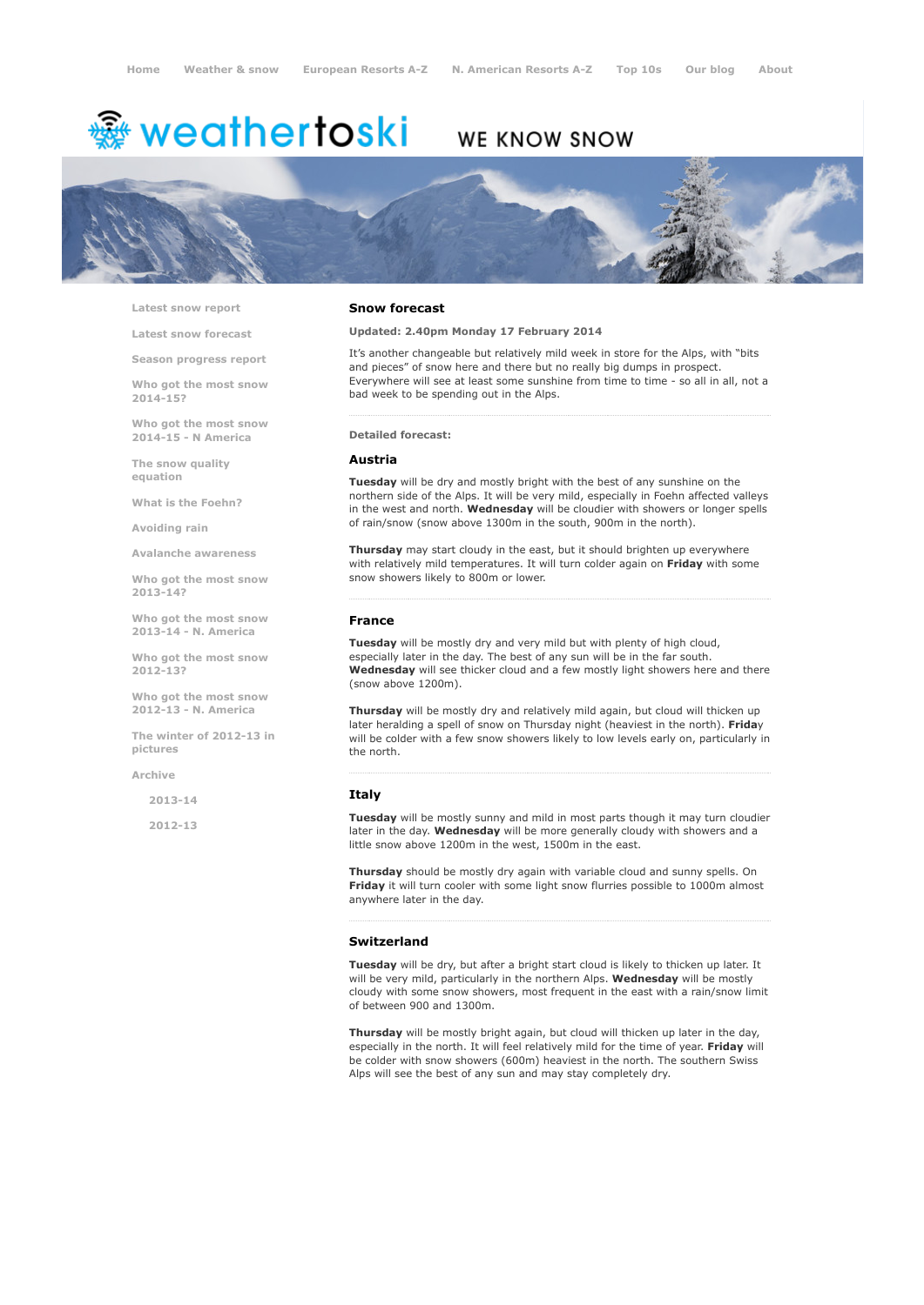# weathertoski <del>﴾</del>

# WE KNOW SNOW



Latest snow [report](http://www.weathertoski.co.uk/weather-snow/latest-snow-report/)

Latest snow [forecast](http://www.weathertoski.co.uk/weather-snow/latest-snow-forecast/)

Season [progress](http://www.weathertoski.co.uk/weather-snow/season-progress-report/) report

Who got the most snow 2014-15?

Who got the most snow 2014-15 - N America

The snow quality [equation](http://www.weathertoski.co.uk/weather-snow/the-snow-quality-equation/)

What is the [Foehn?](http://www.weathertoski.co.uk/weather-snow/what-is-the-foehn/)

[Avoiding](http://www.weathertoski.co.uk/weather-snow/avoiding-rain/) rain

Avalanche [awareness](http://www.weathertoski.co.uk/weather-snow/avalanche-awareness/)

Who got the most snow 2013-14?

Who got the most snow 2013-14 - N. America

Who got the most snow 2012-13?

Who got the most snow 2012-13 - N. America

The winter of 2012-13 in pictures

[Archive](http://www.weathertoski.co.uk/weather-snow/archive/)

2013-14

2012-13

## Snow forecast

#### Updated: 2.40pm Monday 17 February 2014

It's another changeable but relatively mild week in store for the Alps, with "bits and pieces" of snow here and there but no really big dumps in prospect. Everywhere will see at least some sunshine from time to time - so all in all, not a bad week to be spending out in the Alps.

# Detailed forecast:

#### Austria

Tuesday will be dry and mostly bright with the best of any sunshine on the northern side of the Alps. It will be very mild, especially in Foehn affected valleys in the west and north. Wednesday will be cloudier with showers or longer spells of rain/snow (snow above 1300m in the south, 900m in the north).

**Thursday** may start cloudy in the east, but it should brighten up everywhere with relatively mild temperatures. It will turn colder again on Friday with some snow showers likely to 800m or lower.

#### France

Tuesday will be mostly dry and very mild but with plenty of high cloud, especially later in the day. The best of any sun will be in the far south. Wednesday will see thicker cloud and a few mostly light showers here and there (snow above 1200m).

Thursday will be mostly dry and relatively mild again, but cloud will thicken up later heralding a spell of snow on Thursday night (heaviest in the north). Friday will be colder with a few snow showers likely to low levels early on, particularly in the north.

## Italy

Tuesday will be mostly sunny and mild in most parts though it may turn cloudier later in the day. Wednesday will be more generally cloudy with showers and a little snow above 1200m in the west, 1500m in the east.

Thursday should be mostly dry again with variable cloud and sunny spells. On Friday it will turn cooler with some light snow flurries possible to 1000m almost anywhere later in the day.

# Switzerland

Tuesday will be dry, but after a bright start cloud is likely to thicken up later. It will be very mild, particularly in the northern Alps. Wednesday will be mostly cloudy with some snow showers, most frequent in the east with a rain/snow limit of between 900 and 1300m.

Thursday will be mostly bright again, but cloud will thicken up later in the day, especially in the north. It will feel relatively mild for the time of year. Friday will be colder with snow showers (600m) heaviest in the north. The southern Swiss Alps will see the best of any sun and may stay completely dry.